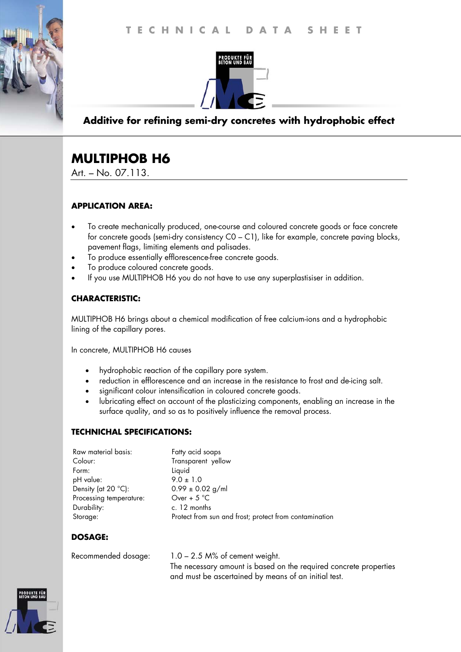



## **Additive for refining semi-dry concretes with hydrophobic effect**

# **MULTIPHOB H6**

Art. – No. 07.113.

## **APPLICATION AREA:**

- To create mechanically produced, one-course and coloured concrete goods or face concrete for concrete goods (semi-dry consistency C0 – C1), like for example, concrete paving blocks, pavement flags, limiting elements and palisades.
- To produce essentially efflorescence-free concrete goods.
- To produce coloured concrete goods.
- If you use MULTIPHOB H6 you do not have to use any superplastisiser in addition.

## **CHARACTERISTIC:**

MULTIPHOB H6 brings about a chemical modification of free calcium-ions and a hydrophobic lining of the capillary pores.

In concrete, MULTIPHOB H6 causes

- hydrophobic reaction of the capillary pore system.
- reduction in efflorescence and an increase in the resistance to frost and de-icing salt.
- significant colour intensification in coloured concrete goods.
- lubricating effect on account of the plasticizing components, enabling an increase in the surface quality, and so as to positively influence the removal process.

#### **TECHNICHAL SPECIFICATIONS:**

| Raw material basis:          | Fatty acid soaps                                       |
|------------------------------|--------------------------------------------------------|
| Colour:                      | Transparent yellow                                     |
| Form:                        | Liquid                                                 |
| pH value:                    | $9.0 \pm 1.0$                                          |
| Density (at $20^{\circ}$ C): | $0.99 \pm 0.02$ g/ml                                   |
| Processing temperature:      | Over + $5^{\circ}$ C                                   |
| Durability:                  | c. 12 months                                           |
| Storage:                     | Protect from sun and frost; protect from contamination |

## **DOSAGE:**

Recommended dosage: 1.0 – 2.5 M% of cement weight. The necessary amount is based on the required concrete properties and must be ascertained by means of an initial test.